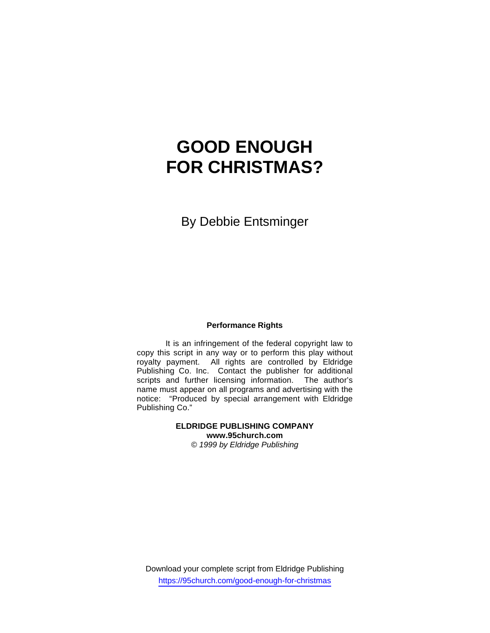# **GOOD ENOUGH FOR CHRISTMAS?**

By Debbie Entsminger

## **Performance Rights**

 It is an infringement of the federal copyright law to copy this script in any way or to perform this play without royalty payment. All rights are controlled by Eldridge Publishing Co. Inc. Contact the publisher for additional scripts and further licensing information. The author's name must appear on all programs and advertising with the notice: "Produced by special arrangement with Eldridge Publishing Co."

#### **ELDRIDGE PUBLISHING COMPANY www.95church.com**  *© 1999 by Eldridge Publishing*

Download your complete script from Eldridge Publishing https://95church.com/good-enough-for-christmas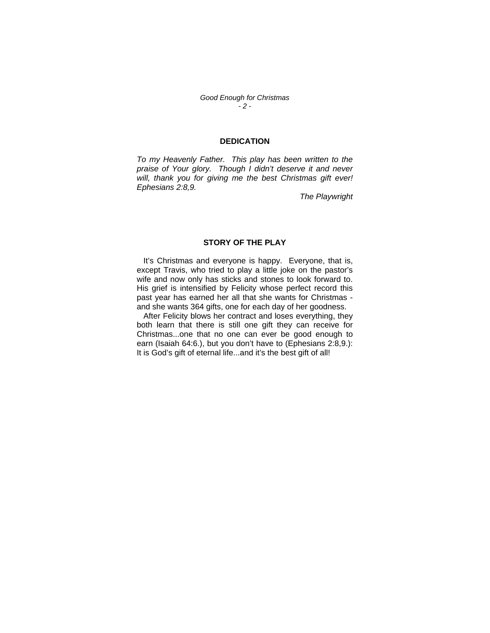*Good Enough for Christmas - 2 -*

#### **DEDICATION**

*To my Heavenly Father. This play has been written to the*  praise of Your glory. Though I didn't deserve it and never *will, thank you for giving me the best Christmas gift ever! Ephesians 2:8,9.* 

*The Playwright* 

## **STORY OF THE PLAY**

 It's Christmas and everyone is happy. Everyone, that is, except Travis, who tried to play a little joke on the pastor's wife and now only has sticks and stones to look forward to. His grief is intensified by Felicity whose perfect record this past year has earned her all that she wants for Christmas and she wants 364 gifts, one for each day of her goodness.

 After Felicity blows her contract and loses everything, they both learn that there is still one gift they can receive for Christmas...one that no one can ever be good enough to earn (Isaiah 64:6.), but you don't have to (Ephesians 2:8,9.): It is God's gift of eternal life...and it's the best gift of all!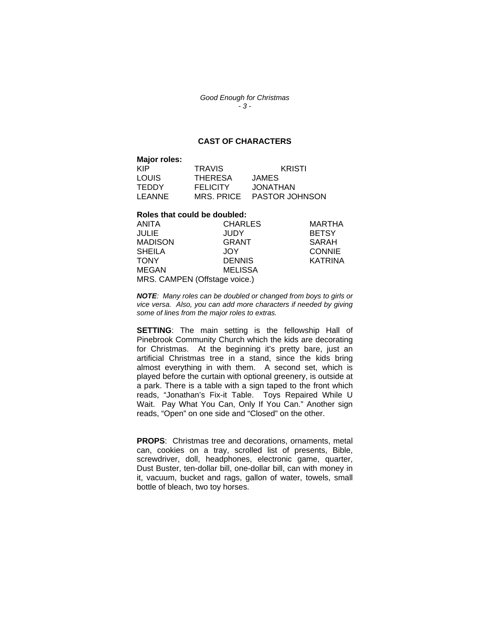*Good Enough for Christmas - 3 -*

## **CAST OF CHARACTERS**

| Major roles: |                 |                       |
|--------------|-----------------|-----------------------|
| <b>KIP</b>   | <b>TRAVIS</b>   | <b>KRISTI</b>         |
| LOUIS        | <b>THERESA</b>  | JAMES                 |
| <b>TEDDY</b> | <b>FELICITY</b> | <b>JONATHAN</b>       |
| LEANNE       | MRS. PRICE      | <b>PASTOR JOHNSON</b> |

#### **Roles that could be doubled:**

| ANITA                         | <b>CHARLES</b> | <b>MARTHA</b>  |
|-------------------------------|----------------|----------------|
| JULIE                         | <b>JUDY</b>    | <b>BETSY</b>   |
| <b>MADISON</b>                | <b>GRANT</b>   | SARAH          |
| <b>SHEILA</b>                 | JOY.           | <b>CONNIE</b>  |
| <b>TONY</b>                   | <b>DENNIS</b>  | <b>KATRINA</b> |
| <b>MEGAN</b>                  | <b>MELISSA</b> |                |
| MRS. CAMPEN (Offstage voice.) |                |                |

*NOTE: Many roles can be doubled or changed from boys to girls or vice versa. Also, you can add more characters if needed by giving some of lines from the major roles to extras.* 

**SETTING:** The main setting is the fellowship Hall of Pinebrook Community Church which the kids are decorating for Christmas. At the beginning it's pretty bare, just an artificial Christmas tree in a stand, since the kids bring almost everything in with them. A second set, which is played before the curtain with optional greenery, is outside at a park. There is a table with a sign taped to the front which reads, "Jonathan's Fix-it Table. Toys Repaired While U Wait. Pay What You Can, Only If You Can." Another sign reads, "Open" on one side and "Closed" on the other.

**PROPS**: Christmas tree and decorations, ornaments, metal can, cookies on a tray, scrolled list of presents, Bible, screwdriver, doll, headphones, electronic game, quarter, Dust Buster, ten-dollar bill, one-dollar bill, can with money in it, vacuum, bucket and rags, gallon of water, towels, small bottle of bleach, two toy horses.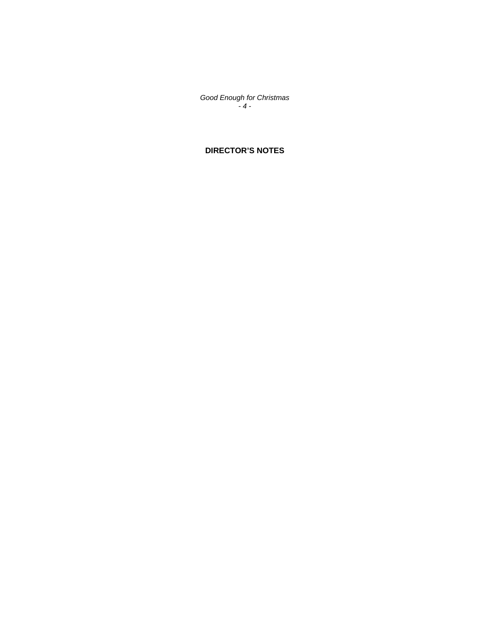*Good Enough for Christmas - 4 -*

## **DIRECTOR'S NOTES**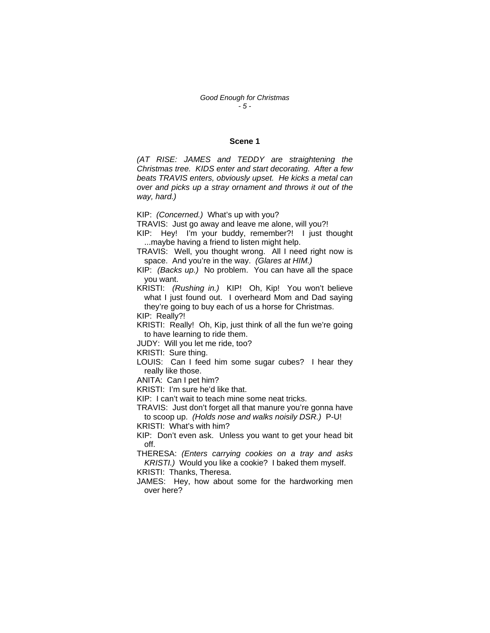#### **Scene 1**

*(AT RISE: JAMES and TEDDY are straightening the Christmas tree. KIDS enter and start decorating. After a few beats TRAVIS enters, obviously upset. He kicks a metal can over and picks up a stray ornament and throws it out of the way, hard.)* 

KIP: *(Concerned.)* What's up with you?

TRAVIS: Just go away and leave me alone, will you?!

KIP: Hey! I'm your buddy, remember?! I just thought ...maybe having a friend to listen might help.

TRAVIS: Well, you thought wrong. All I need right now is space. And you're in the way. *(Glares at HIM.)* 

KIP: *(Backs up.)* No problem. You can have all the space you want.

KRISTI: *(Rushing in.)* KIP! Oh, Kip! You won't believe what I just found out. I overheard Mom and Dad saying they're going to buy each of us a horse for Christmas.

KIP: Really?!

KRISTI: Really! Oh, Kip, just think of all the fun we're going to have learning to ride them.

JUDY: Will you let me ride, too?

KRISTI: Sure thing.

LOUIS: Can I feed him some sugar cubes? I hear they really like those.

ANITA: Can I pet him?

KRISTI: I'm sure he'd like that.

KIP: I can't wait to teach mine some neat tricks.

TRAVIS: Just don't forget all that manure you're gonna have to scoop up. *(Holds nose and walks noisily DSR.)* P-U!

KRISTI: What's with him?

KIP: Don't even ask. Unless you want to get your head bit off.

THERESA: *(Enters carrying cookies on a tray and asks KRISTI.)* Would you like a cookie? I baked them myself.

KRISTI: Thanks, Theresa.

JAMES: Hey, how about some for the hardworking men over here?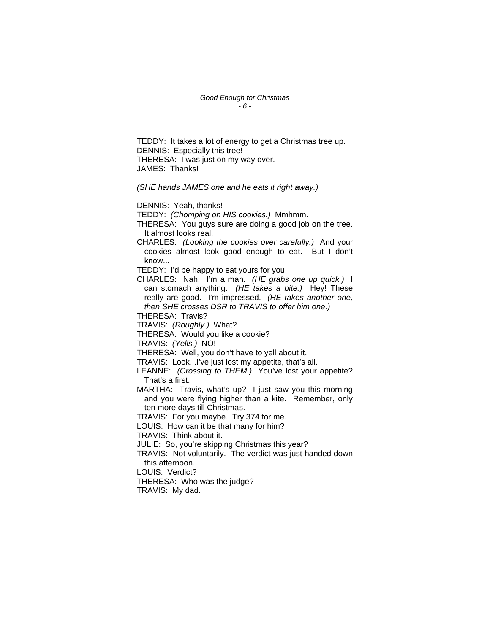*Good Enough for Christmas - 6 -*

TEDDY: It takes a lot of energy to get a Christmas tree up. DENNIS: Especially this tree! THERESA: I was just on my way over. JAMES: Thanks!

*(SHE hands JAMES one and he eats it right away.)* 

DENNIS: Yeah, thanks!

TEDDY: *(Chomping on HIS cookies.)* Mmhmm.

THERESA: You guys sure are doing a good job on the tree. It almost looks real.

CHARLES: *(Looking the cookies over carefully.)* And your cookies almost look good enough to eat. But I don't know...

TEDDY: I'd be happy to eat yours for you.

CHARLES: Nah! I'm a man. *(HE grabs one up quick.)* I can stomach anything. *(HE takes a bite.)* Hey! These really are good. I'm impressed. *(HE takes another one, then SHE crosses DSR to TRAVIS to offer him one.)* 

THERESA: Travis?

TRAVIS: *(Roughly.)* What?

THERESA: Would you like a cookie?

TRAVIS: *(Yells.)* NO!

THERESA: Well, you don't have to yell about it.

TRAVIS: Look...I've just lost my appetite, that's all.

LEANNE: *(Crossing to THEM.)* You've lost your appetite? That's a first.

MARTHA: Travis, what's up? I just saw you this morning and you were flying higher than a kite. Remember, only ten more days till Christmas.

TRAVIS: For you maybe. Try 374 for me.

LOUIS: How can it be that many for him?

TRAVIS: Think about it.

JULIE: So, you're skipping Christmas this year?

TRAVIS: Not voluntarily. The verdict was just handed down this afternoon.

LOUIS: Verdict?

THERESA: Who was the judge?

TRAVIS: My dad.